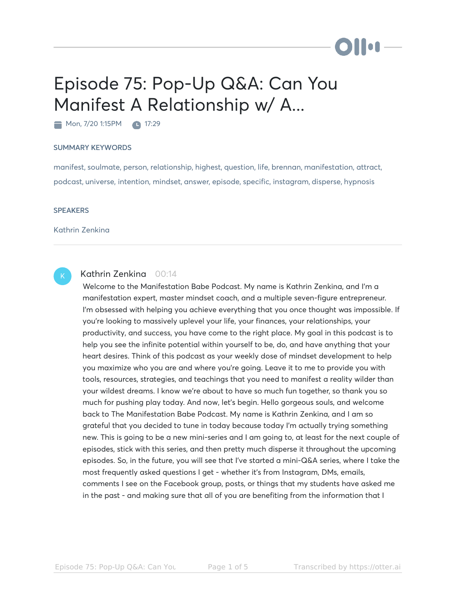# Episode 75: Pop-Up Q&A: Can You Manifest A Relationship w/ A...

Mon, 7/20 1:15PM 17:29

#### SUMMARY KEYWORDS

manifest, soulmate, person, relationship, highest, question, life, brennan, manifestation, attract, podcast, universe, intention, mindset, answer, episode, specific, instagram, disperse, hypnosis

#### **SPEAKERS**

Kathrin Zenkina

## K

### Kathrin Zenkina 00:14

Welcome to the Manifestation Babe Podcast. My name is Kathrin Zenkina, and I'm a manifestation expert, master mindset coach, and a multiple seven-figure entrepreneur. I'm obsessed with helping you achieve everything that you once thought was impossible. If you're looking to massively uplevel your life, your finances, your relationships, your productivity, and success, you have come to the right place. My goal in this podcast is to help you see the infinite potential within yourself to be, do, and have anything that your heart desires. Think of this podcast as your weekly dose of mindset development to help you maximize who you are and where you're going. Leave it to me to provide you with tools, resources, strategies, and teachings that you need to manifest a reality wilder than your wildest dreams. I know we're about to have so much fun together, so thank you so much for pushing play today. And now, let's begin. Hello gorgeous souls, and welcome back to The Manifestation Babe Podcast. My name is Kathrin Zenkina, and I am so grateful that you decided to tune in today because today I'm actually trying something new. This is going to be a new mini-series and I am going to, at least for the next couple of episodes, stick with this series, and then pretty much disperse it throughout the upcoming episodes. So, in the future, you will see that I've started a mini-Q&A series, where I take the most frequently asked questions I get - whether it's from Instagram, DMs, emails, comments I see on the Facebook group, posts, or things that my students have asked me in the past - and making sure that all of you are benefiting from the information that I

) | | og .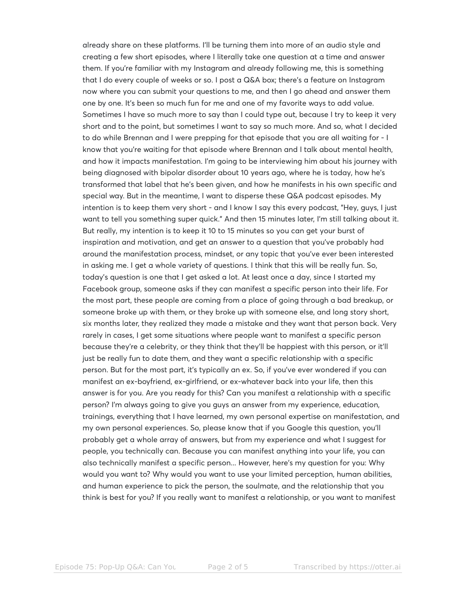already share on these platforms. I'll be turning them into more of an audio style and creating a few short episodes, where I literally take one question at a time and answer them. If you're familiar with my Instagram and already following me, this is something that I do every couple of weeks or so. I post a Q&A box; there's a feature on Instagram now where you can submit your questions to me, and then I go ahead and answer them one by one. It's been so much fun for me and one of my favorite ways to add value. Sometimes I have so much more to say than I could type out, because I try to keep it very short and to the point, but sometimes I want to say so much more. And so, what I decided to do while Brennan and I were prepping for that episode that you are all waiting for - I know that you're waiting for that episode where Brennan and I talk about mental health, and how it impacts manifestation. I'm going to be interviewing him about his journey with being diagnosed with bipolar disorder about 10 years ago, where he is today, how he's transformed that label that he's been given, and how he manifests in his own specific and special way. But in the meantime, I want to disperse these Q&A podcast episodes. My intention is to keep them very short - and I know I say this every podcast, "Hey, guys, I just want to tell you something super quick." And then 15 minutes later, I'm still talking about it. But really, my intention is to keep it 10 to 15 minutes so you can get your burst of inspiration and motivation, and get an answer to a question that you've probably had around the manifestation process, mindset, or any topic that you've ever been interested in asking me. I get a whole variety of questions. I think that this will be really fun. So, today's question is one that I get asked a lot. At least once a day, since I started my Facebook group, someone asks if they can manifest a specific person into their life. For the most part, these people are coming from a place of going through a bad breakup, or someone broke up with them, or they broke up with someone else, and long story short, six months later, they realized they made a mistake and they want that person back. Very rarely in cases, I get some situations where people want to manifest a specific person because they're a celebrity, or they think that they'll be happiest with this person, or it'll just be really fun to date them, and they want a specific relationship with a specific person. But for the most part, it's typically an ex. So, if you've ever wondered if you can manifest an ex-boyfriend, ex-girlfriend, or ex-whatever back into your life, then this answer is for you. Are you ready for this? Can you manifest a relationship with a specific person? I'm always going to give you guys an answer from my experience, education, trainings, everything that I have learned, my own personal expertise on manifestation, and my own personal experiences. So, please know that if you Google this question, you'll probably get a whole array of answers, but from my experience and what I suggest for people, you technically can. Because you can manifest anything into your life, you can also technically manifest a specific person... However, here's my question for you: Why would you want to? Why would you want to use your limited perception, human abilities, and human experience to pick the person, the soulmate, and the relationship that you think is best for you? If you really want to manifest a relationship, or you want to manifest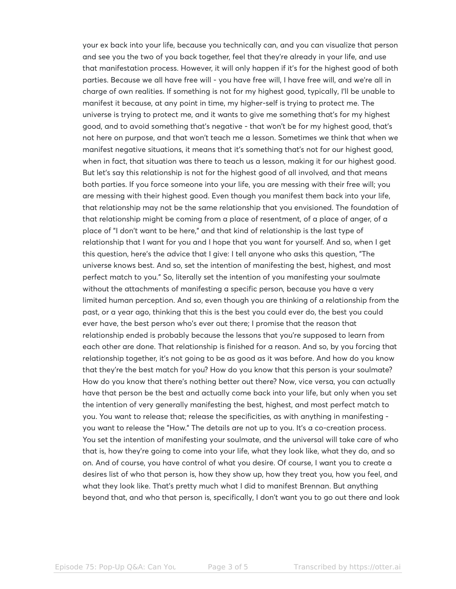your ex back into your life, because you technically can, and you can visualize that person and see you the two of you back together, feel that they're already in your life, and use that manifestation process. However, it will only happen if it's for the highest good of both parties. Because we all have free will - you have free will, I have free will, and we're all in charge of own realities. If something is not for my highest good, typically, I'll be unable to manifest it because, at any point in time, my higher-self is trying to protect me. The universe is trying to protect me, and it wants to give me something that's for my highest good, and to avoid something that's negative - that won't be for my highest good, that's not here on purpose, and that won't teach me a lesson. Sometimes we think that when we manifest negative situations, it means that it's something that's not for our highest good, when in fact, that situation was there to teach us a lesson, making it for our highest good. But let's say this relationship is not for the highest good of all involved, and that means both parties. If you force someone into your life, you are messing with their free will; you are messing with their highest good. Even though you manifest them back into your life, that relationship may not be the same relationship that you envisioned. The foundation of that relationship might be coming from a place of resentment, of a place of anger, of a place of "I don't want to be here," and that kind of relationship is the last type of relationship that I want for you and I hope that you want for yourself. And so, when I get this question, here's the advice that I give: I tell anyone who asks this question, "The universe knows best. And so, set the intention of manifesting the best, highest, and most perfect match to you." So, literally set the intention of you manifesting your soulmate without the attachments of manifesting a specific person, because you have a very limited human perception. And so, even though you are thinking of a relationship from the past, or a year ago, thinking that this is the best you could ever do, the best you could ever have, the best person who's ever out there; I promise that the reason that relationship ended is probably because the lessons that you're supposed to learn from each other are done. That relationship is finished for a reason. And so, by you forcing that relationship together, it's not going to be as good as it was before. And how do you know that they're the best match for you? How do you know that this person is your soulmate? How do you know that there's nothing better out there? Now, vice versa, you can actually have that person be the best and actually come back into your life, but only when you set the intention of very generally manifesting the best, highest, and most perfect match to you. You want to release that; release the specificities, as with anything in manifesting you want to release the "How." The details are not up to you. It's a co-creation process. You set the intention of manifesting your soulmate, and the universal will take care of who that is, how they're going to come into your life, what they look like, what they do, and so on. And of course, you have control of what you desire. Of course, I want you to create a desires list of who that person is, how they show up, how they treat you, how you feel, and what they look like. That's pretty much what I did to manifest Brennan. But anything beyond that, and who that person is, specifically, I don't want you to go out there and look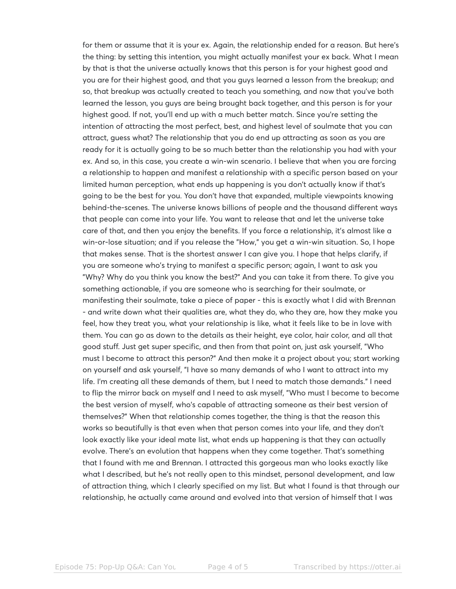for them or assume that it is your ex. Again, the relationship ended for a reason. But here's the thing: by setting this intention, you might actually manifest your ex back. What I mean by that is that the universe actually knows that this person is for your highest good and you are for their highest good, and that you guys learned a lesson from the breakup; and so, that breakup was actually created to teach you something, and now that you've both learned the lesson, you guys are being brought back together, and this person is for your highest good. If not, you'll end up with a much better match. Since you're setting the intention of attracting the most perfect, best, and highest level of soulmate that you can attract, guess what? The relationship that you do end up attracting as soon as you are ready for it is actually going to be so much better than the relationship you had with your ex. And so, in this case, you create a win-win scenario. I believe that when you are forcing a relationship to happen and manifest a relationship with a specific person based on your limited human perception, what ends up happening is you don't actually know if that's going to be the best for you. You don't have that expanded, multiple viewpoints knowing behind-the-scenes. The universe knows billions of people and the thousand different ways that people can come into your life. You want to release that and let the universe take care of that, and then you enjoy the benefits. If you force a relationship, it's almost like a win-or-lose situation; and if you release the "How," you get a win-win situation. So, I hope that makes sense. That is the shortest answer I can give you. I hope that helps clarify, if you are someone who's trying to manifest a specific person; again, I want to ask you "Why? Why do you think you know the best?" And you can take it from there. To give you something actionable, if you are someone who is searching for their soulmate, or manifesting their soulmate, take a piece of paper - this is exactly what I did with Brennan - and write down what their qualities are, what they do, who they are, how they make you feel, how they treat you, what your relationship is like, what it feels like to be in love with them. You can go as down to the details as their height, eye color, hair color, and all that good stuff. Just get super specific, and then from that point on, just ask yourself, "Who must I become to attract this person?" And then make it a project about you; start working on yourself and ask yourself, "I have so many demands of who I want to attract into my life. I'm creating all these demands of them, but I need to match those demands." I need to flip the mirror back on myself and I need to ask myself, "Who must I become to become the best version of myself, who's capable of attracting someone as their best version of themselves?" When that relationship comes together, the thing is that the reason this works so beautifully is that even when that person comes into your life, and they don't look exactly like your ideal mate list, what ends up happening is that they can actually evolve. There's an evolution that happens when they come together. That's something that I found with me and Brennan. I attracted this gorgeous man who looks exactly like what I described, but he's not really open to this mindset, personal development, and law of attraction thing, which I clearly specified on my list. But what I found is that through our relationship, he actually came around and evolved into that version of himself that I was